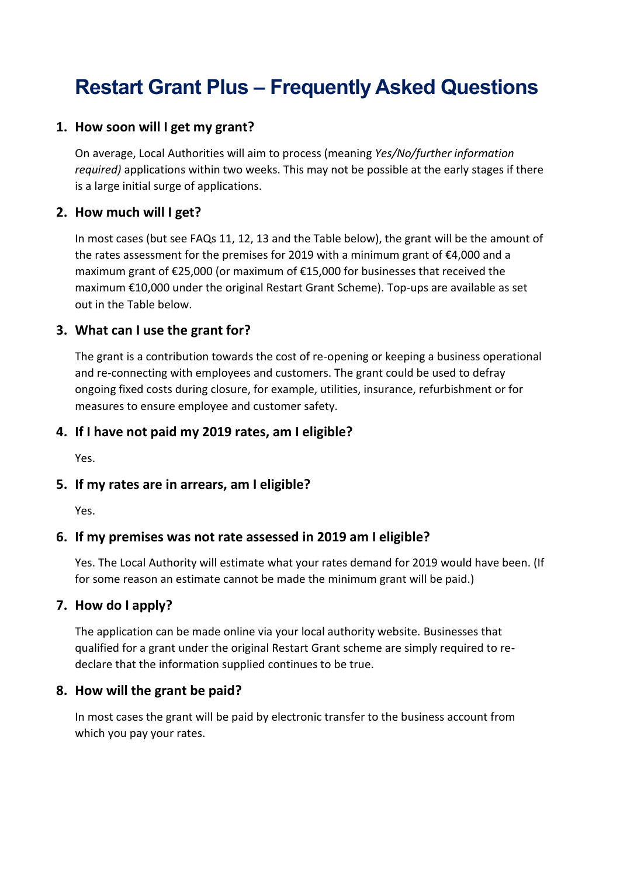# **Restart Grant Plus – Frequently Asked Questions**

## **1. How soon will I get my grant?**

On average, Local Authorities will aim to process (meaning *Yes/No/further information required)* applications within two weeks. This may not be possible at the early stages if there is a large initial surge of applications.

## **2. How much will I get?**

In most cases (but see FAQs 11, 12, 13 and the Table below), the grant will be the amount of the rates assessment for the premises for 2019 with a minimum grant of €4,000 and a maximum grant of €25,000 (or maximum of €15,000 for businesses that received the maximum €10,000 under the original Restart Grant Scheme). Top-ups are available as set out in the Table below.

#### **3. What can I use the grant for?**

The grant is a contribution towards the cost of re-opening or keeping a business operational and re-connecting with employees and customers. The grant could be used to defray ongoing fixed costs during closure, for example, utilities, insurance, refurbishment or for measures to ensure employee and customer safety.

#### **4. If I have not paid my 2019 rates, am I eligible?**

Yes.

## **5. If my rates are in arrears, am I eligible?**

Yes.

## **6. If my premises was not rate assessed in 2019 am I eligible?**

Yes. The Local Authority will estimate what your rates demand for 2019 would have been. (If for some reason an estimate cannot be made the minimum grant will be paid.)

## **7. How do I apply?**

The application can be made online via your local authority website. Businesses that qualified for a grant under the original Restart Grant scheme are simply required to redeclare that the information supplied continues to be true.

#### **8. How will the grant be paid?**

In most cases the grant will be paid by electronic transfer to the business account from which you pay your rates.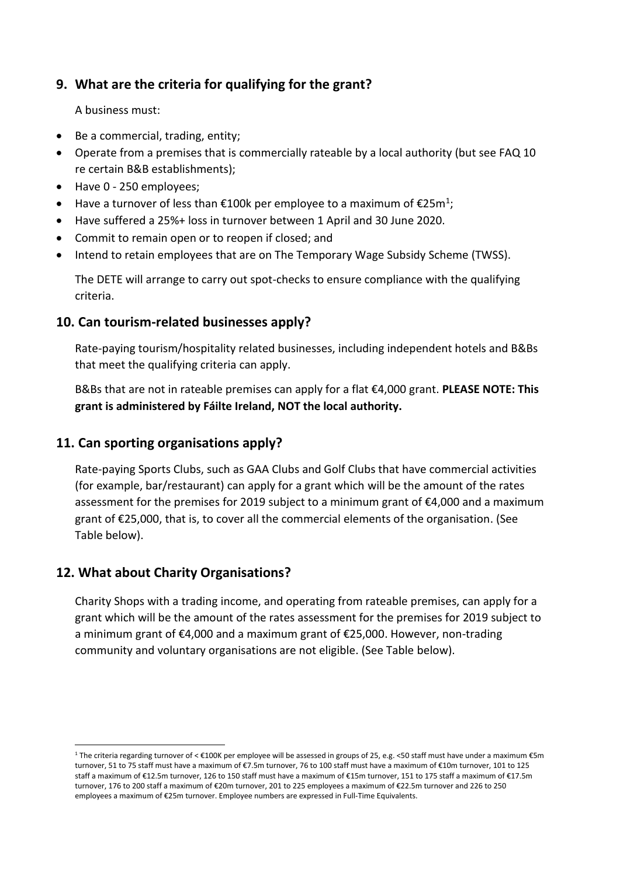# **9. What are the criteria for qualifying for the grant?**

A business must:

- Be a commercial, trading, entity;
- Operate from a premises that is commercially rateable by a local authority (but see FAQ 10 re certain B&B establishments);
- Have 0 250 employees;
- Have a turnover of less than  $\epsilon$ 100k per employee to a maximum of  $\epsilon$ 25m<sup>1</sup>;
- Have suffered a 25%+ loss in turnover between 1 April and 30 June 2020.
- Commit to remain open or to reopen if closed; and
- Intend to retain employees that are on The Temporary Wage Subsidy Scheme (TWSS).

<span id="page-1-0"></span>The DETE will arrange to carry out spot-checks to ensure compliance with the qualifying criteria.

## **10. Can tourism-related businesses apply?**

Rate-paying tourism/hospitality related businesses, including independent hotels and B&Bs that meet the qualifying criteria can apply.

B&Bs that are not in rateable premises can apply for a flat €4,000 grant. **PLEASE NOTE: This grant is administered by Fáilte Ireland, NOT the local authority.**

# **11. Can sporting organisations apply?**

Rate-paying Sports Clubs, such as GAA Clubs and Golf Clubs that have commercial activities (for example, bar/restaurant) can apply for a grant which will be the amount of the rates assessment for the premises for 2019 subject to a minimum grant of €4,000 and a maximum grant of €25,000, that is, to cover all the commercial elements of the organisation. (See Table below).

# **12. What about Charity Organisations?**

1

Charity Shops with a trading income, and operating from rateable premises, can apply for a grant which will be the amount of the rates assessment for the premises for 2019 subject to a minimum grant of €4,000 and a maximum grant of €25,000. However, non-trading community and voluntary organisations are not eligible. (See Table below).

<sup>&</sup>lt;sup>1</sup> The criteria regarding turnover of < €100K per employee will be assessed in groups of 25, e.g. <50 staff must have under a maximum €5m turnover, 51 to 75 staff must have a maximum of €7.5m turnover, 76 to 100 staff must have a maximum of €10m turnover, 101 to 125 staff a maximum of €12.5m turnover, 126 to 150 staff must have a maximum of €15m turnover, 151 to 175 staff a maximum of €17.5m turnover, 176 to 200 staff a maximum of €20m turnover, 201 to 225 employees a maximum of €22.5m turnover and 226 to 250 employees a maximum of €25m turnover. Employee numbers are expressed in Full-Time Equivalents.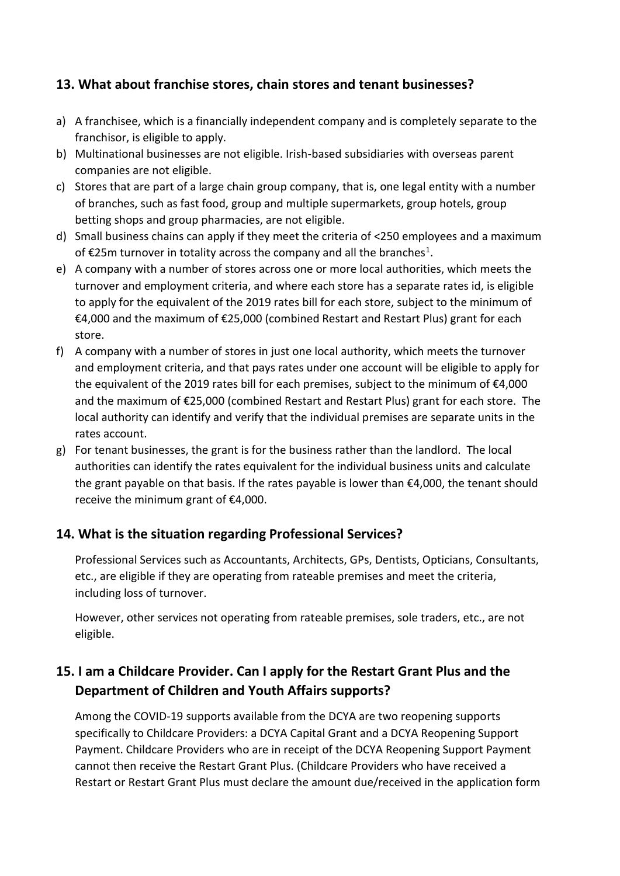# **13. What about franchise stores, chain stores and tenant businesses?**

- a) A franchisee, which is a financially independent company and is completely separate to the franchisor, is eligible to apply.
- b) Multinational businesses are not eligible. Irish-based subsidiaries with overseas parent companies are not eligible.
- c) Stores that are part of a large chain group company, that is, one legal entity with a number of branches, such as fast food, group and multiple supermarkets, group hotels, group betting shops and group pharmacies, are not eligible.
- d) Small business chains can apply if they meet the criteria of <250 employees and a maximum of  $E25m$  turnover in totality across the company and all the branches<sup>[1](#page-1-0)</sup>.
- e) A company with a number of stores across one or more local authorities, which meets the turnover and employment criteria, and where each store has a separate rates id, is eligible to apply for the equivalent of the 2019 rates bill for each store, subject to the minimum of €4,000 and the maximum of €25,000 (combined Restart and Restart Plus) grant for each store.
- f) A company with a number of stores in just one local authority, which meets the turnover and employment criteria, and that pays rates under one account will be eligible to apply for the equivalent of the 2019 rates bill for each premises, subject to the minimum of  $\epsilon$ 4,000 and the maximum of €25,000 (combined Restart and Restart Plus) grant for each store. The local authority can identify and verify that the individual premises are separate units in the rates account.
- g) For tenant businesses, the grant is for the business rather than the landlord. The local authorities can identify the rates equivalent for the individual business units and calculate the grant payable on that basis. If the rates payable is lower than €4,000, the tenant should receive the minimum grant of €4,000.

# **14. What is the situation regarding Professional Services?**

Professional Services such as Accountants, Architects, GPs, Dentists, Opticians, Consultants, etc., are eligible if they are operating from rateable premises and meet the criteria, including loss of turnover.

However, other services not operating from rateable premises, sole traders, etc., are not eligible.

# **15. I am a Childcare Provider. Can I apply for the Restart Grant Plus and the Department of Children and Youth Affairs supports?**

Among the COVID-19 supports available from the DCYA are two reopening supports specifically to Childcare Providers: a DCYA Capital Grant and a DCYA Reopening Support Payment. Childcare Providers who are in receipt of the DCYA Reopening Support Payment cannot then receive the Restart Grant Plus. (Childcare Providers who have received a Restart or Restart Grant Plus must declare the amount due/received in the application form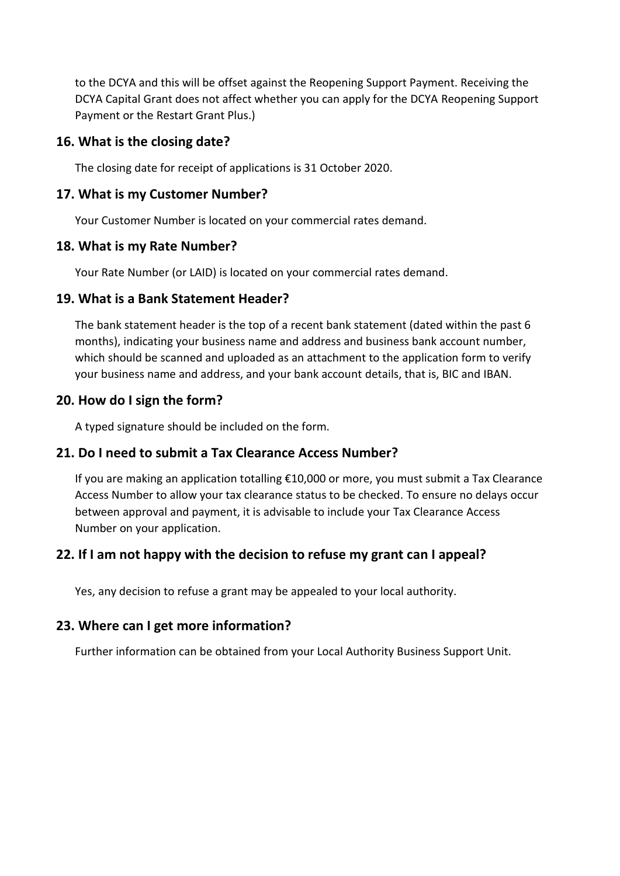to the DCYA and this will be offset against the Reopening Support Payment. Receiving the DCYA Capital Grant does not affect whether you can apply for the DCYA Reopening Support Payment or the Restart Grant Plus.)

## **16. What is the closing date?**

The closing date for receipt of applications is 31 October 2020.

# **17. What is my Customer Number?**

Your Customer Number is located on your commercial rates demand.

## **18. What is my Rate Number?**

Your Rate Number (or LAID) is located on your commercial rates demand.

## **19. What is a Bank Statement Header?**

The bank statement header is the top of a recent bank statement (dated within the past 6 months), indicating your business name and address and business bank account number, which should be scanned and uploaded as an attachment to the application form to verify your business name and address, and your bank account details, that is, BIC and IBAN.

# **20. How do I sign the form?**

A typed signature should be included on the form.

# **21. Do I need to submit a Tax Clearance Access Number?**

If you are making an application totalling €10,000 or more, you must submit a Tax Clearance Access Number to allow your tax clearance status to be checked. To ensure no delays occur between approval and payment, it is advisable to include your Tax Clearance Access Number on your application.

# **22. If I am not happy with the decision to refuse my grant can I appeal?**

Yes, any decision to refuse a grant may be appealed to your local authority.

# **23. Where can I get more information?**

Further information can be obtained from your Local Authority Business Support Unit.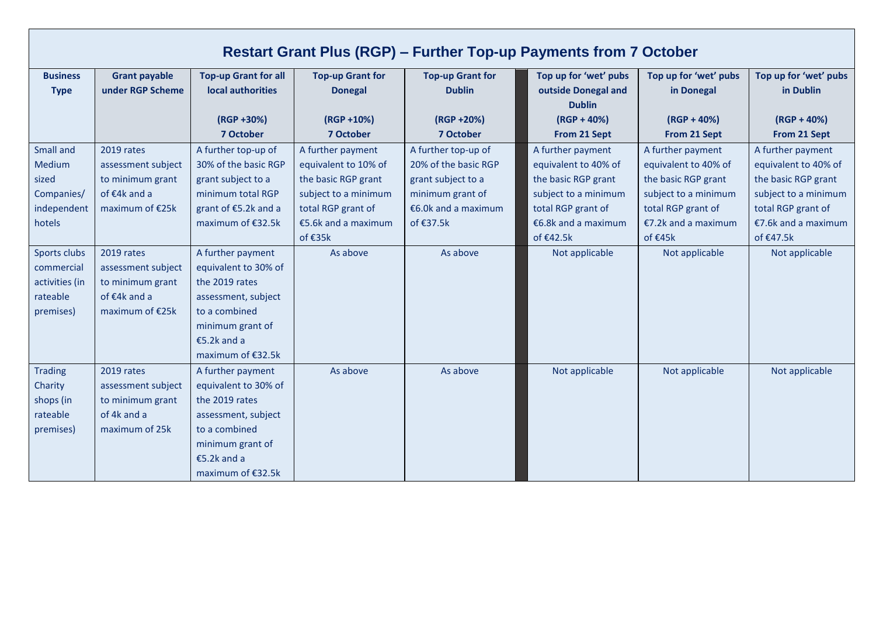| <b>Restart Grant Plus (RGP) - Further Top-up Payments from 7 October</b> |                                          |                                                  |                                           |                                          |                                                               |                                     |                                    |  |  |  |  |  |  |
|--------------------------------------------------------------------------|------------------------------------------|--------------------------------------------------|-------------------------------------------|------------------------------------------|---------------------------------------------------------------|-------------------------------------|------------------------------------|--|--|--|--|--|--|
| <b>Business</b><br><b>Type</b>                                           | <b>Grant payable</b><br>under RGP Scheme | <b>Top-up Grant for all</b><br>local authorities | <b>Top-up Grant for</b><br><b>Donegal</b> | <b>Top-up Grant for</b><br><b>Dublin</b> | Top up for 'wet' pubs<br>outside Donegal and<br><b>Dublin</b> | Top up for 'wet' pubs<br>in Donegal | Top up for 'wet' pubs<br>in Dublin |  |  |  |  |  |  |
|                                                                          |                                          | $(RGP + 30%)$                                    | (RGP +10%)                                | (RGP +20%)                               | $(RGP + 40%)$                                                 | $(RGP + 40%)$                       | $(RGP + 40%)$                      |  |  |  |  |  |  |
|                                                                          |                                          | 7 October                                        | 7 October                                 | 7 October                                | From 21 Sept                                                  | From 21 Sept                        | From 21 Sept                       |  |  |  |  |  |  |
| Small and                                                                | 2019 rates                               | A further top-up of                              | A further payment                         | A further top-up of                      | A further payment                                             | A further payment                   | A further payment                  |  |  |  |  |  |  |
| Medium                                                                   | assessment subject                       | 30% of the basic RGP                             | equivalent to 10% of                      | 20% of the basic RGP                     | equivalent to 40% of                                          | equivalent to 40% of                | equivalent to 40% of               |  |  |  |  |  |  |
| sized                                                                    | to minimum grant                         | grant subject to a                               | the basic RGP grant                       | grant subject to a                       | the basic RGP grant                                           | the basic RGP grant                 | the basic RGP grant                |  |  |  |  |  |  |
| Companies/                                                               | of $E4k$ and a                           | minimum total RGP                                | subject to a minimum                      | minimum grant of                         | subject to a minimum                                          | subject to a minimum                | subject to a minimum               |  |  |  |  |  |  |
| independent                                                              | maximum of €25k                          | grant of €5.2k and a                             | total RGP grant of                        | €6.0 $k$ and a maximum                   | total RGP grant of                                            | total RGP grant of                  | total RGP grant of                 |  |  |  |  |  |  |
| hotels                                                                   |                                          | maximum of €32.5k                                | €5.6k and a maximum                       | of €37.5k                                | €6.8k and a maximum                                           | €7.2 $k$ and a maximum              | €7.6 $k$ and a maximum             |  |  |  |  |  |  |
|                                                                          |                                          |                                                  | of €35k                                   |                                          | of €42.5k                                                     | of $£45k$                           | of €47.5k                          |  |  |  |  |  |  |
| Sports clubs                                                             | 2019 rates                               | A further payment                                | As above                                  | As above                                 | Not applicable                                                | Not applicable                      | Not applicable                     |  |  |  |  |  |  |
| commercial                                                               | assessment subject                       | equivalent to 30% of                             |                                           |                                          |                                                               |                                     |                                    |  |  |  |  |  |  |
| activities (in                                                           | to minimum grant                         | the 2019 rates                                   |                                           |                                          |                                                               |                                     |                                    |  |  |  |  |  |  |
| rateable                                                                 | of $E4k$ and a                           | assessment, subject                              |                                           |                                          |                                                               |                                     |                                    |  |  |  |  |  |  |
| premises)                                                                | maximum of €25k                          | to a combined                                    |                                           |                                          |                                                               |                                     |                                    |  |  |  |  |  |  |
|                                                                          |                                          | minimum grant of                                 |                                           |                                          |                                                               |                                     |                                    |  |  |  |  |  |  |
|                                                                          |                                          | €5.2 $k$ and a                                   |                                           |                                          |                                                               |                                     |                                    |  |  |  |  |  |  |
|                                                                          |                                          | maximum of €32.5k                                |                                           |                                          |                                                               |                                     |                                    |  |  |  |  |  |  |
| <b>Trading</b>                                                           | 2019 rates                               | A further payment                                | As above                                  | As above                                 | Not applicable                                                | Not applicable                      | Not applicable                     |  |  |  |  |  |  |
| Charity                                                                  | assessment subject                       | equivalent to 30% of                             |                                           |                                          |                                                               |                                     |                                    |  |  |  |  |  |  |
| shops (in                                                                | to minimum grant                         | the 2019 rates                                   |                                           |                                          |                                                               |                                     |                                    |  |  |  |  |  |  |
| rateable                                                                 | of 4k and a                              | assessment, subject                              |                                           |                                          |                                                               |                                     |                                    |  |  |  |  |  |  |
| premises)                                                                | maximum of 25k                           | to a combined                                    |                                           |                                          |                                                               |                                     |                                    |  |  |  |  |  |  |
|                                                                          |                                          | minimum grant of                                 |                                           |                                          |                                                               |                                     |                                    |  |  |  |  |  |  |
|                                                                          |                                          | €5.2 $k$ and a                                   |                                           |                                          |                                                               |                                     |                                    |  |  |  |  |  |  |
|                                                                          |                                          | maximum of €32.5k                                |                                           |                                          |                                                               |                                     |                                    |  |  |  |  |  |  |